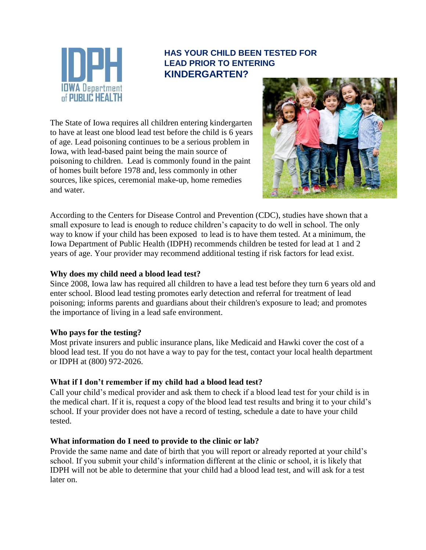

### **HAS YOUR CHILD BEEN TESTED FOR LEAD PRIOR TO ENTERING KINDERGARTEN?**

The State of Iowa requires all children entering kindergarten to have at least one blood lead test before the child is 6 years of age. Lead poisoning continues to be a serious problem in Iowa, with lead-based paint being the main source of poisoning to children. Lead is commonly found in the paint of homes built before 1978 and, less commonly in other sources, like spices, ceremonial make-up, home remedies and water.



According to the Centers for Disease Control and Prevention (CDC), studies have shown that a small exposure to lead is enough to reduce children's capacity to do well in school. The only way to know if your child has been exposed to lead is to have them tested. At a minimum, the Iowa Department of Public Health (IDPH) recommends children be tested for lead at 1 and 2 years of age. Your provider may recommend additional testing if risk factors for lead exist.

#### **Why does my child need a blood lead test?**

Since 2008, Iowa law has required all children to have a lead test before they turn 6 years old and enter school. Blood lead testing promotes early detection and referral for treatment of lead poisoning; informs parents and guardians about their children's exposure to lead; and promotes the importance of living in a lead safe environment.

#### **Who pays for the testing?**

Most private insurers and public insurance plans, like Medicaid and Hawki cover the cost of a blood lead test. If you do not have a way to pay for the test, contact your local health department or IDPH at (800) 972-2026.

### **What if I don't remember if my child had a blood lead test?**

Call your child's medical provider and ask them to check if a blood lead test for your child is in the medical chart. If it is, request a copy of the blood lead test results and bring it to your child's school. If your provider does not have a record of testing, schedule a date to have your child tested.

#### **What information do I need to provide to the clinic or lab?**

Provide the same name and date of birth that you will report or already reported at your child's school. If you submit your child's information different at the clinic or school, it is likely that IDPH will not be able to determine that your child had a blood lead test, and will ask for a test later on.